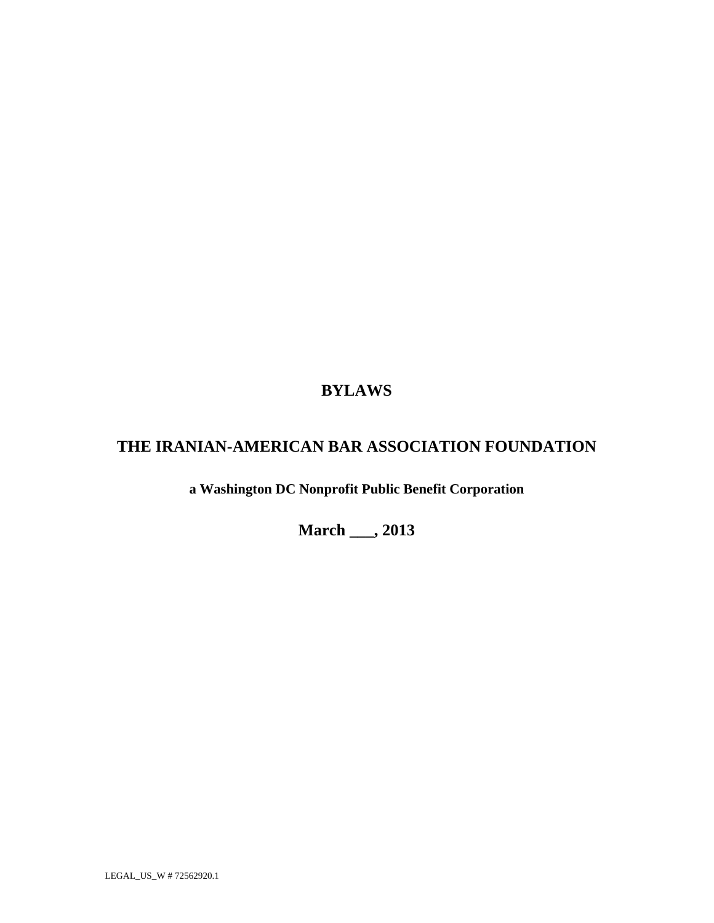# **BYLAWS**

# **THE IRANIAN-AMERICAN BAR ASSOCIATION FOUNDATION**

**a Washington DC Nonprofit Public Benefit Corporation**

**March \_\_\_, 2013**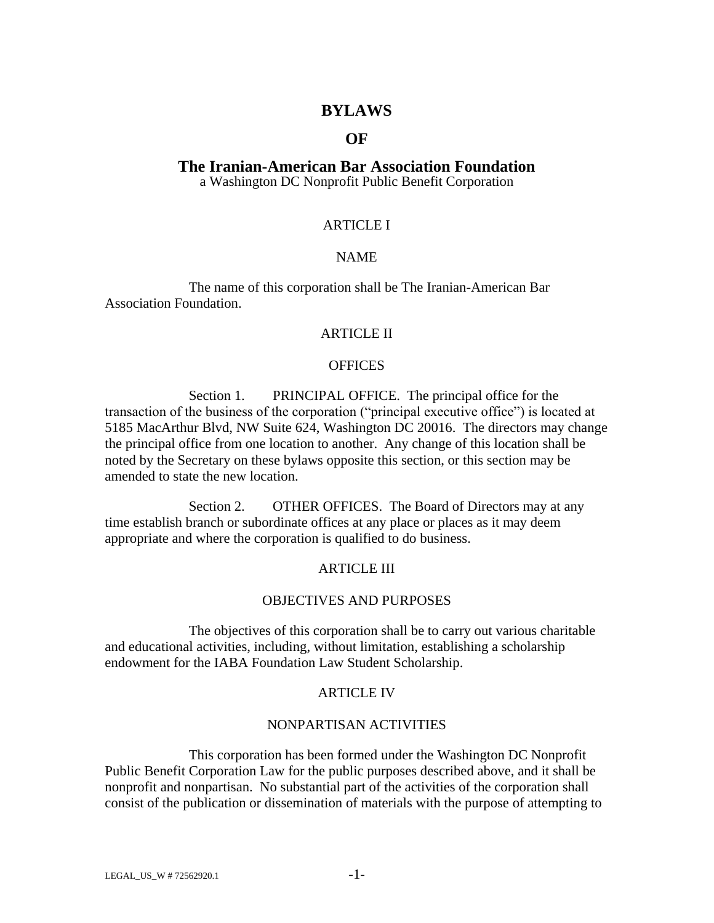## **BYLAWS**

## **OF**

## **The Iranian-American Bar Association Foundation**

a Washington DC Nonprofit Public Benefit Corporation

## ARTICLE I

## NAME

The name of this corporation shall be The Iranian-American Bar Association Foundation.

## ARTICLE II

## **OFFICES**

Section 1. PRINCIPAL OFFICE. The principal office for the transaction of the business of the corporation ("principal executive office") is located at 5185 MacArthur Blvd, NW Suite 624, Washington DC 20016. The directors may change the principal office from one location to another. Any change of this location shall be noted by the Secretary on these bylaws opposite this section, or this section may be amended to state the new location.

Section 2. OTHER OFFICES. The Board of Directors may at any time establish branch or subordinate offices at any place or places as it may deem appropriate and where the corporation is qualified to do business.

### ARTICLE III

#### OBJECTIVES AND PURPOSES

The objectives of this corporation shall be to carry out various charitable and educational activities, including, without limitation, establishing a scholarship endowment for the IABA Foundation Law Student Scholarship.

#### ARTICLE IV

#### NONPARTISAN ACTIVITIES

This corporation has been formed under the Washington DC Nonprofit Public Benefit Corporation Law for the public purposes described above, and it shall be nonprofit and nonpartisan. No substantial part of the activities of the corporation shall consist of the publication or dissemination of materials with the purpose of attempting to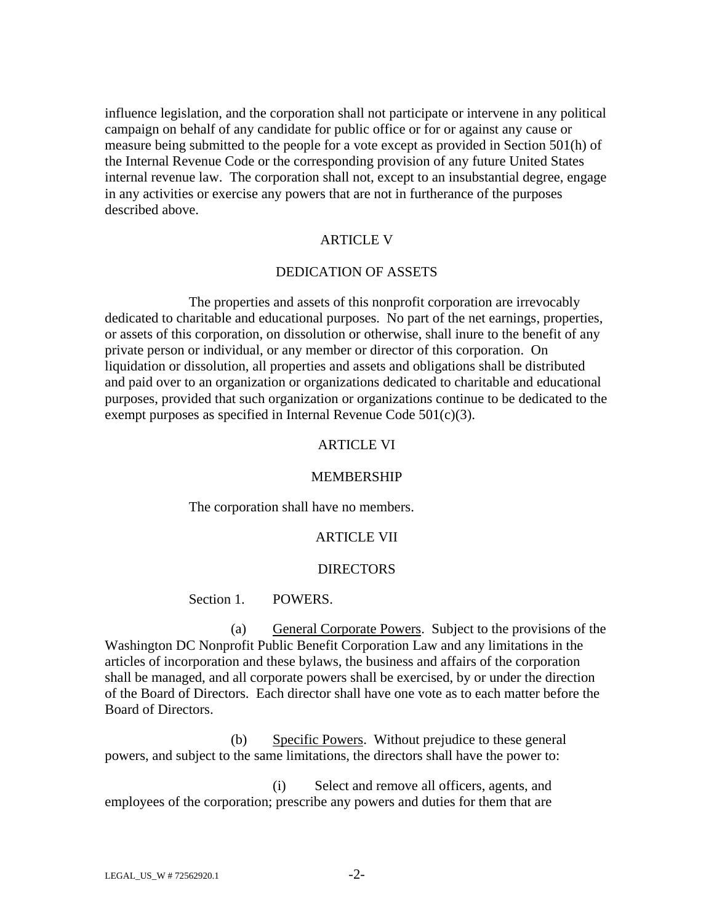influence legislation, and the corporation shall not participate or intervene in any political campaign on behalf of any candidate for public office or for or against any cause or measure being submitted to the people for a vote except as provided in Section 501(h) of the Internal Revenue Code or the corresponding provision of any future United States internal revenue law. The corporation shall not, except to an insubstantial degree, engage in any activities or exercise any powers that are not in furtherance of the purposes described above.

## ARTICLE V

### DEDICATION OF ASSETS

The properties and assets of this nonprofit corporation are irrevocably dedicated to charitable and educational purposes. No part of the net earnings, properties, or assets of this corporation, on dissolution or otherwise, shall inure to the benefit of any private person or individual, or any member or director of this corporation. On liquidation or dissolution, all properties and assets and obligations shall be distributed and paid over to an organization or organizations dedicated to charitable and educational purposes, provided that such organization or organizations continue to be dedicated to the exempt purposes as specified in Internal Revenue Code 501(c)(3).

## ARTICLE VI

#### MEMBERSHIP

#### The corporation shall have no members.

#### ARTICLE VII

#### DIRECTORS

#### Section 1. POWERS.

(a) General Corporate Powers. Subject to the provisions of the Washington DC Nonprofit Public Benefit Corporation Law and any limitations in the articles of incorporation and these bylaws, the business and affairs of the corporation shall be managed, and all corporate powers shall be exercised, by or under the direction of the Board of Directors. Each director shall have one vote as to each matter before the Board of Directors.

(b) Specific Powers. Without prejudice to these general powers, and subject to the same limitations, the directors shall have the power to:

(i) Select and remove all officers, agents, and employees of the corporation; prescribe any powers and duties for them that are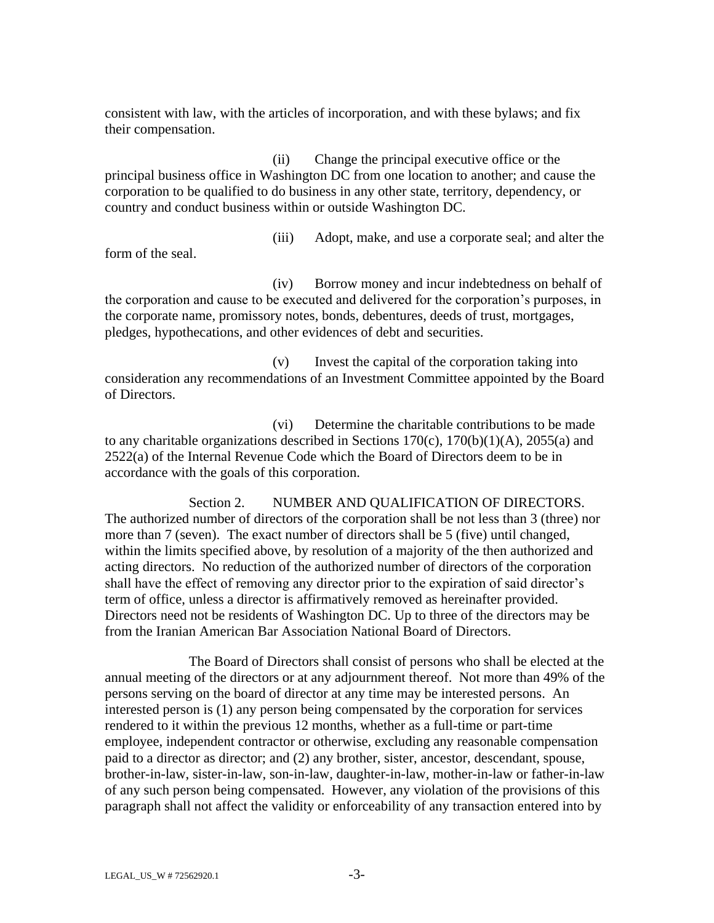consistent with law, with the articles of incorporation, and with these bylaws; and fix their compensation.

(ii) Change the principal executive office or the principal business office in Washington DC from one location to another; and cause the corporation to be qualified to do business in any other state, territory, dependency, or country and conduct business within or outside Washington DC.

form of the seal.

(iii) Adopt, make, and use a corporate seal; and alter the

(iv) Borrow money and incur indebtedness on behalf of the corporation and cause to be executed and delivered for the corporation's purposes, in the corporate name, promissory notes, bonds, debentures, deeds of trust, mortgages, pledges, hypothecations, and other evidences of debt and securities.

(v) Invest the capital of the corporation taking into consideration any recommendations of an Investment Committee appointed by the Board of Directors.

(vi) Determine the charitable contributions to be made to any charitable organizations described in Sections  $170(c)$ ,  $170(b)(1)(A)$ ,  $2055(a)$  and 2522(a) of the Internal Revenue Code which the Board of Directors deem to be in accordance with the goals of this corporation.

Section 2. NUMBER AND OUALIFICATION OF DIRECTORS. The authorized number of directors of the corporation shall be not less than 3 (three) nor more than 7 (seven). The exact number of directors shall be 5 (five) until changed, within the limits specified above, by resolution of a majority of the then authorized and acting directors. No reduction of the authorized number of directors of the corporation shall have the effect of removing any director prior to the expiration of said director's term of office, unless a director is affirmatively removed as hereinafter provided. Directors need not be residents of Washington DC. Up to three of the directors may be from the Iranian American Bar Association National Board of Directors.

The Board of Directors shall consist of persons who shall be elected at the annual meeting of the directors or at any adjournment thereof. Not more than 49% of the persons serving on the board of director at any time may be interested persons. An interested person is (1) any person being compensated by the corporation for services rendered to it within the previous 12 months, whether as a full-time or part-time employee, independent contractor or otherwise, excluding any reasonable compensation paid to a director as director; and (2) any brother, sister, ancestor, descendant, spouse, brother-in-law, sister-in-law, son-in-law, daughter-in-law, mother-in-law or father-in-law of any such person being compensated. However, any violation of the provisions of this paragraph shall not affect the validity or enforceability of any transaction entered into by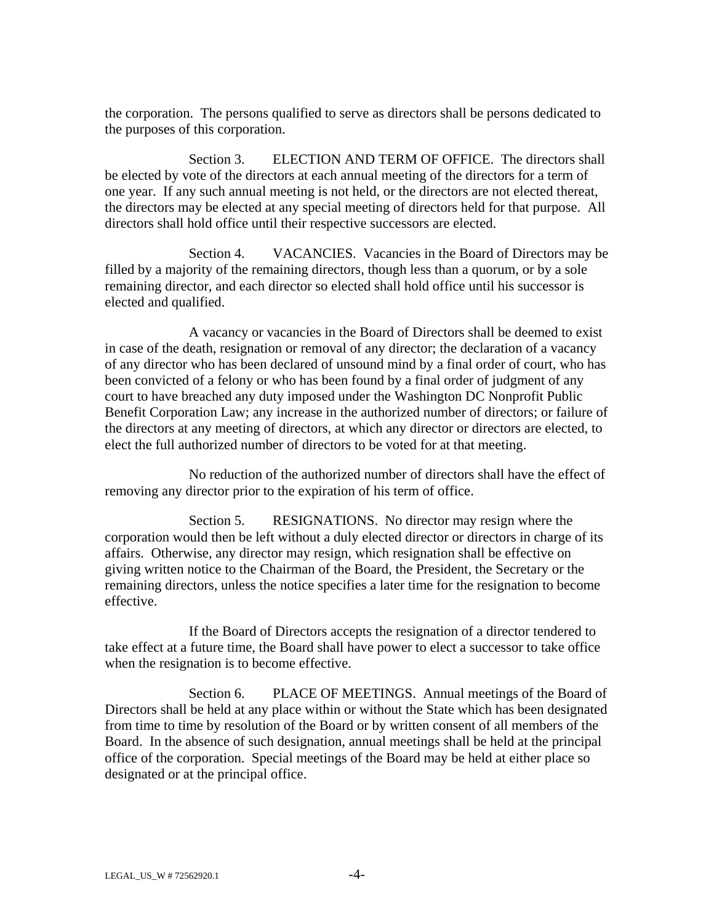the corporation. The persons qualified to serve as directors shall be persons dedicated to the purposes of this corporation.

Section 3. ELECTION AND TERM OF OFFICE. The directors shall be elected by vote of the directors at each annual meeting of the directors for a term of one year. If any such annual meeting is not held, or the directors are not elected thereat, the directors may be elected at any special meeting of directors held for that purpose. All directors shall hold office until their respective successors are elected.

Section 4. VACANCIES. Vacancies in the Board of Directors may be filled by a majority of the remaining directors, though less than a quorum, or by a sole remaining director, and each director so elected shall hold office until his successor is elected and qualified.

A vacancy or vacancies in the Board of Directors shall be deemed to exist in case of the death, resignation or removal of any director; the declaration of a vacancy of any director who has been declared of unsound mind by a final order of court, who has been convicted of a felony or who has been found by a final order of judgment of any court to have breached any duty imposed under the Washington DC Nonprofit Public Benefit Corporation Law; any increase in the authorized number of directors; or failure of the directors at any meeting of directors, at which any director or directors are elected, to elect the full authorized number of directors to be voted for at that meeting.

No reduction of the authorized number of directors shall have the effect of removing any director prior to the expiration of his term of office.

Section 5. RESIGNATIONS. No director may resign where the corporation would then be left without a duly elected director or directors in charge of its affairs. Otherwise, any director may resign, which resignation shall be effective on giving written notice to the Chairman of the Board, the President, the Secretary or the remaining directors, unless the notice specifies a later time for the resignation to become effective.

If the Board of Directors accepts the resignation of a director tendered to take effect at a future time, the Board shall have power to elect a successor to take office when the resignation is to become effective.

Section 6. PLACE OF MEETINGS. Annual meetings of the Board of Directors shall be held at any place within or without the State which has been designated from time to time by resolution of the Board or by written consent of all members of the Board. In the absence of such designation, annual meetings shall be held at the principal office of the corporation. Special meetings of the Board may be held at either place so designated or at the principal office.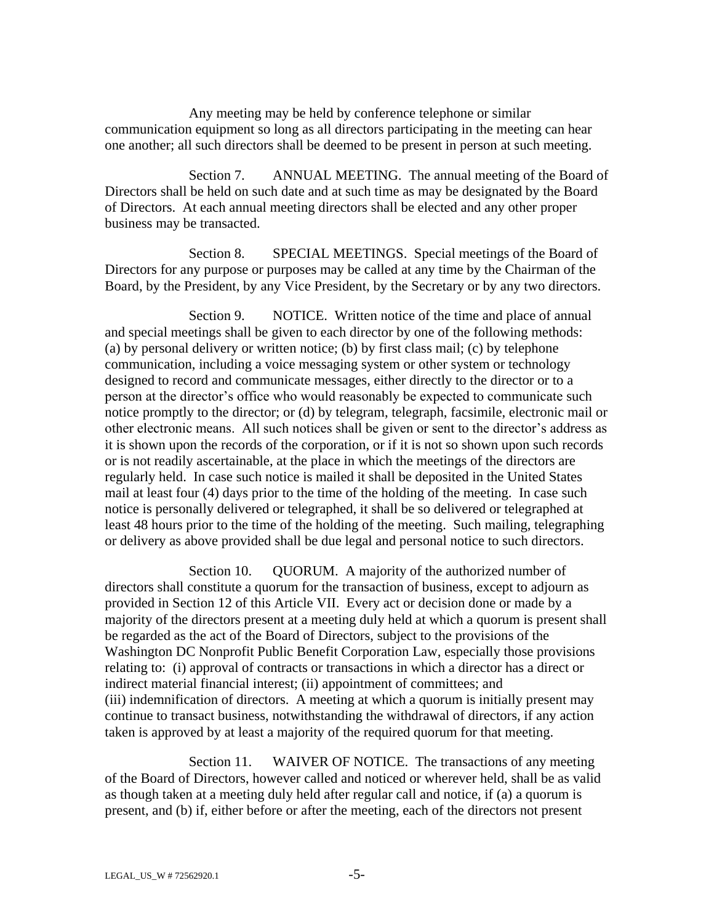Any meeting may be held by conference telephone or similar communication equipment so long as all directors participating in the meeting can hear one another; all such directors shall be deemed to be present in person at such meeting.

Section 7. ANNUAL MEETING. The annual meeting of the Board of Directors shall be held on such date and at such time as may be designated by the Board of Directors. At each annual meeting directors shall be elected and any other proper business may be transacted.

Section 8. SPECIAL MEETINGS. Special meetings of the Board of Directors for any purpose or purposes may be called at any time by the Chairman of the Board, by the President, by any Vice President, by the Secretary or by any two directors.

Section 9. NOTICE. Written notice of the time and place of annual and special meetings shall be given to each director by one of the following methods: (a) by personal delivery or written notice; (b) by first class mail; (c) by telephone communication, including a voice messaging system or other system or technology designed to record and communicate messages, either directly to the director or to a person at the director's office who would reasonably be expected to communicate such notice promptly to the director; or (d) by telegram, telegraph, facsimile, electronic mail or other electronic means. All such notices shall be given or sent to the director's address as it is shown upon the records of the corporation, or if it is not so shown upon such records or is not readily ascertainable, at the place in which the meetings of the directors are regularly held. In case such notice is mailed it shall be deposited in the United States mail at least four (4) days prior to the time of the holding of the meeting. In case such notice is personally delivered or telegraphed, it shall be so delivered or telegraphed at least 48 hours prior to the time of the holding of the meeting. Such mailing, telegraphing or delivery as above provided shall be due legal and personal notice to such directors.

Section 10. QUORUM. A majority of the authorized number of directors shall constitute a quorum for the transaction of business, except to adjourn as provided in Section 12 of this Article VII. Every act or decision done or made by a majority of the directors present at a meeting duly held at which a quorum is present shall be regarded as the act of the Board of Directors, subject to the provisions of the Washington DC Nonprofit Public Benefit Corporation Law, especially those provisions relating to: (i) approval of contracts or transactions in which a director has a direct or indirect material financial interest; (ii) appointment of committees; and (iii) indemnification of directors. A meeting at which a quorum is initially present may continue to transact business, notwithstanding the withdrawal of directors, if any action taken is approved by at least a majority of the required quorum for that meeting.

Section 11. WAIVER OF NOTICE. The transactions of any meeting of the Board of Directors, however called and noticed or wherever held, shall be as valid as though taken at a meeting duly held after regular call and notice, if (a) a quorum is present, and (b) if, either before or after the meeting, each of the directors not present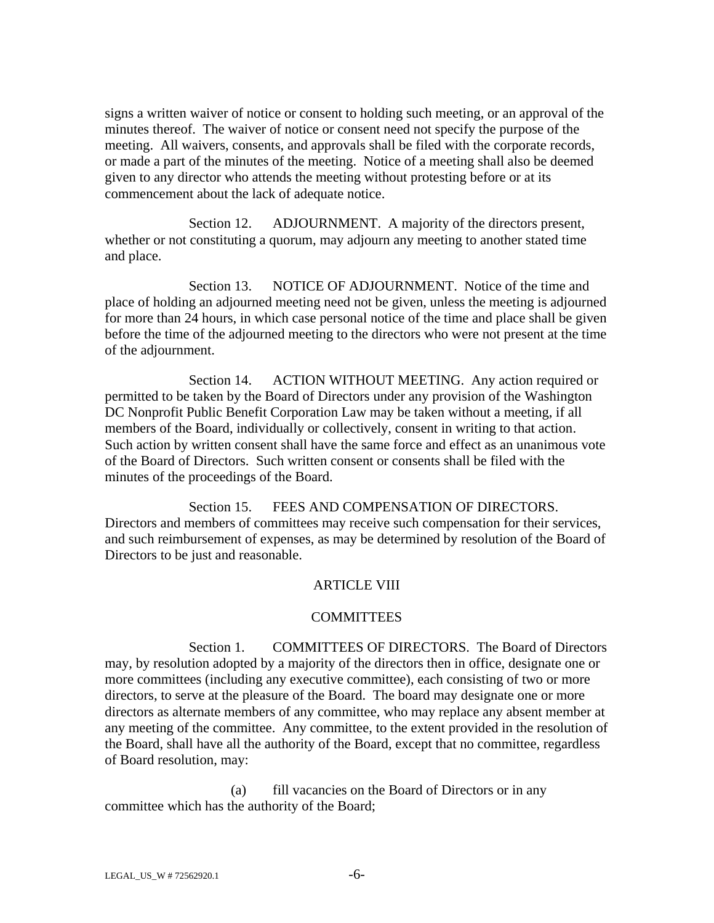signs a written waiver of notice or consent to holding such meeting, or an approval of the minutes thereof. The waiver of notice or consent need not specify the purpose of the meeting. All waivers, consents, and approvals shall be filed with the corporate records, or made a part of the minutes of the meeting. Notice of a meeting shall also be deemed given to any director who attends the meeting without protesting before or at its commencement about the lack of adequate notice.

Section 12. ADJOURNMENT. A majority of the directors present, whether or not constituting a quorum, may adjourn any meeting to another stated time and place.

Section 13. NOTICE OF ADJOURNMENT. Notice of the time and place of holding an adjourned meeting need not be given, unless the meeting is adjourned for more than 24 hours, in which case personal notice of the time and place shall be given before the time of the adjourned meeting to the directors who were not present at the time of the adjournment.

Section 14. ACTION WITHOUT MEETING. Any action required or permitted to be taken by the Board of Directors under any provision of the Washington DC Nonprofit Public Benefit Corporation Law may be taken without a meeting, if all members of the Board, individually or collectively, consent in writing to that action. Such action by written consent shall have the same force and effect as an unanimous vote of the Board of Directors. Such written consent or consents shall be filed with the minutes of the proceedings of the Board.

Section 15. FEES AND COMPENSATION OF DIRECTORS. Directors and members of committees may receive such compensation for their services, and such reimbursement of expenses, as may be determined by resolution of the Board of Directors to be just and reasonable.

## ARTICLE VIII

### **COMMITTEES**

Section 1. COMMITTEES OF DIRECTORS. The Board of Directors may, by resolution adopted by a majority of the directors then in office, designate one or more committees (including any executive committee), each consisting of two or more directors, to serve at the pleasure of the Board. The board may designate one or more directors as alternate members of any committee, who may replace any absent member at any meeting of the committee. Any committee, to the extent provided in the resolution of the Board, shall have all the authority of the Board, except that no committee, regardless of Board resolution, may:

(a) fill vacancies on the Board of Directors or in any committee which has the authority of the Board;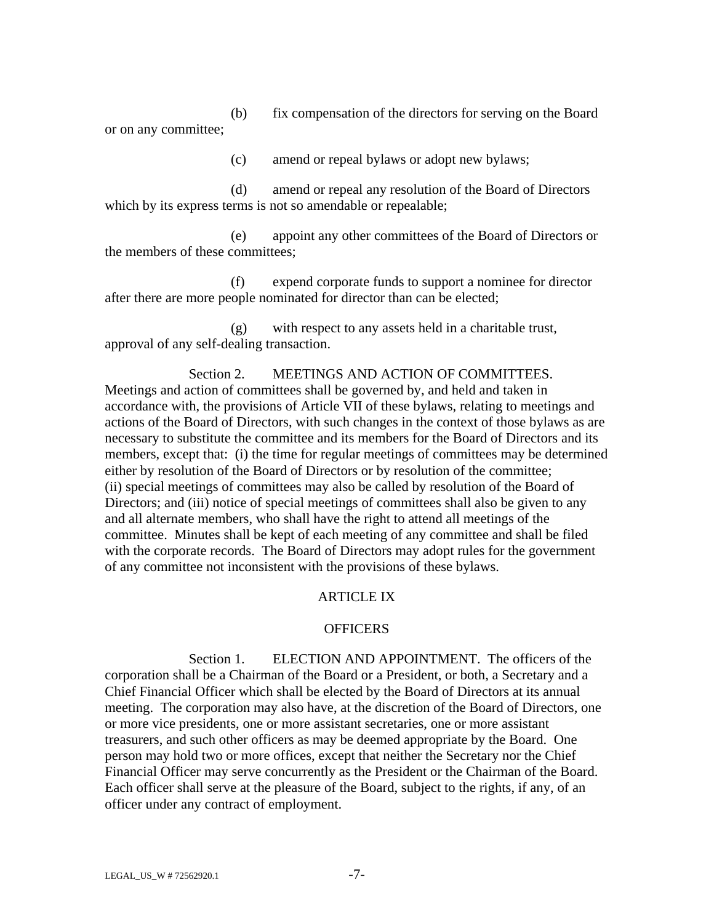(b) fix compensation of the directors for serving on the Board or on any committee;

(c) amend or repeal bylaws or adopt new bylaws;

(d) amend or repeal any resolution of the Board of Directors which by its express terms is not so amendable or repealable;

(e) appoint any other committees of the Board of Directors or the members of these committees;

(f) expend corporate funds to support a nominee for director after there are more people nominated for director than can be elected;

(g) with respect to any assets held in a charitable trust, approval of any self-dealing transaction.

Section 2. MEETINGS AND ACTION OF COMMITTEES. Meetings and action of committees shall be governed by, and held and taken in accordance with, the provisions of Article VII of these bylaws, relating to meetings and actions of the Board of Directors, with such changes in the context of those bylaws as are necessary to substitute the committee and its members for the Board of Directors and its members, except that: (i) the time for regular meetings of committees may be determined either by resolution of the Board of Directors or by resolution of the committee; (ii) special meetings of committees may also be called by resolution of the Board of Directors; and (iii) notice of special meetings of committees shall also be given to any and all alternate members, who shall have the right to attend all meetings of the committee. Minutes shall be kept of each meeting of any committee and shall be filed with the corporate records. The Board of Directors may adopt rules for the government of any committee not inconsistent with the provisions of these bylaws.

## ARTICLE IX

## **OFFICERS**

Section 1. ELECTION AND APPOINTMENT. The officers of the corporation shall be a Chairman of the Board or a President, or both, a Secretary and a Chief Financial Officer which shall be elected by the Board of Directors at its annual meeting. The corporation may also have, at the discretion of the Board of Directors, one or more vice presidents, one or more assistant secretaries, one or more assistant treasurers, and such other officers as may be deemed appropriate by the Board. One person may hold two or more offices, except that neither the Secretary nor the Chief Financial Officer may serve concurrently as the President or the Chairman of the Board. Each officer shall serve at the pleasure of the Board, subject to the rights, if any, of an officer under any contract of employment.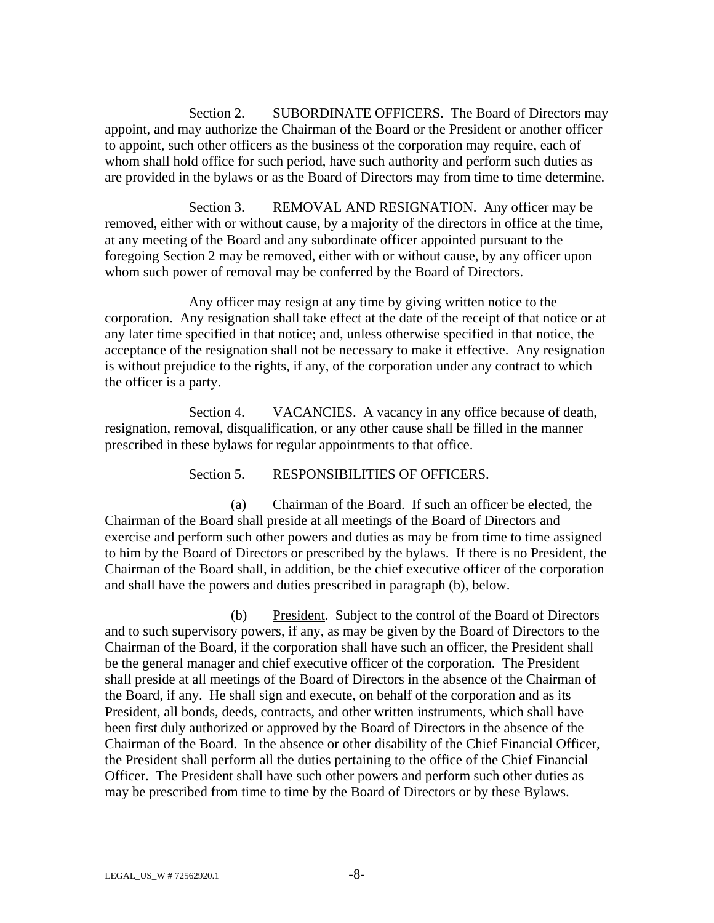Section 2. SUBORDINATE OFFICERS. The Board of Directors may appoint, and may authorize the Chairman of the Board or the President or another officer to appoint, such other officers as the business of the corporation may require, each of whom shall hold office for such period, have such authority and perform such duties as are provided in the bylaws or as the Board of Directors may from time to time determine.

Section 3. REMOVAL AND RESIGNATION. Any officer may be removed, either with or without cause, by a majority of the directors in office at the time, at any meeting of the Board and any subordinate officer appointed pursuant to the foregoing Section 2 may be removed, either with or without cause, by any officer upon whom such power of removal may be conferred by the Board of Directors.

Any officer may resign at any time by giving written notice to the corporation. Any resignation shall take effect at the date of the receipt of that notice or at any later time specified in that notice; and, unless otherwise specified in that notice, the acceptance of the resignation shall not be necessary to make it effective. Any resignation is without prejudice to the rights, if any, of the corporation under any contract to which the officer is a party.

Section 4. VACANCIES. A vacancy in any office because of death, resignation, removal, disqualification, or any other cause shall be filled in the manner prescribed in these bylaws for regular appointments to that office.

Section 5. RESPONSIBILITIES OF OFFICERS.

(a) Chairman of the Board. If such an officer be elected, the Chairman of the Board shall preside at all meetings of the Board of Directors and exercise and perform such other powers and duties as may be from time to time assigned to him by the Board of Directors or prescribed by the bylaws. If there is no President, the Chairman of the Board shall, in addition, be the chief executive officer of the corporation and shall have the powers and duties prescribed in paragraph (b), below.

(b) President. Subject to the control of the Board of Directors and to such supervisory powers, if any, as may be given by the Board of Directors to the Chairman of the Board, if the corporation shall have such an officer, the President shall be the general manager and chief executive officer of the corporation. The President shall preside at all meetings of the Board of Directors in the absence of the Chairman of the Board, if any. He shall sign and execute, on behalf of the corporation and as its President, all bonds, deeds, contracts, and other written instruments, which shall have been first duly authorized or approved by the Board of Directors in the absence of the Chairman of the Board. In the absence or other disability of the Chief Financial Officer, the President shall perform all the duties pertaining to the office of the Chief Financial Officer. The President shall have such other powers and perform such other duties as may be prescribed from time to time by the Board of Directors or by these Bylaws.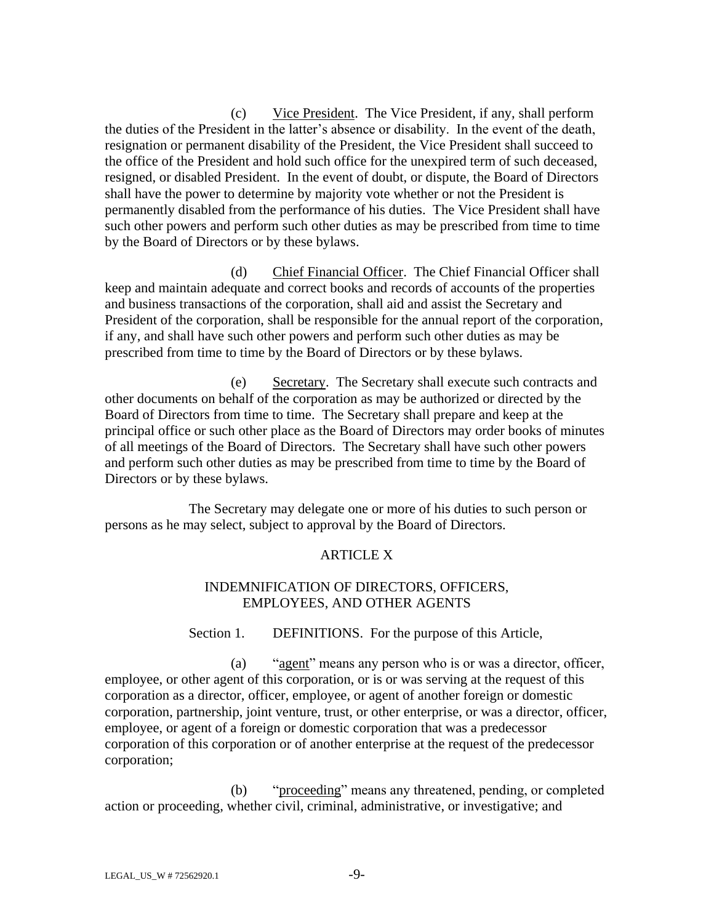(c) Vice President. The Vice President, if any, shall perform the duties of the President in the latter's absence or disability. In the event of the death, resignation or permanent disability of the President, the Vice President shall succeed to the office of the President and hold such office for the unexpired term of such deceased, resigned, or disabled President. In the event of doubt, or dispute, the Board of Directors shall have the power to determine by majority vote whether or not the President is permanently disabled from the performance of his duties. The Vice President shall have such other powers and perform such other duties as may be prescribed from time to time by the Board of Directors or by these bylaws.

(d) Chief Financial Officer. The Chief Financial Officer shall keep and maintain adequate and correct books and records of accounts of the properties and business transactions of the corporation, shall aid and assist the Secretary and President of the corporation, shall be responsible for the annual report of the corporation, if any, and shall have such other powers and perform such other duties as may be prescribed from time to time by the Board of Directors or by these bylaws.

(e) Secretary. The Secretary shall execute such contracts and other documents on behalf of the corporation as may be authorized or directed by the Board of Directors from time to time. The Secretary shall prepare and keep at the principal office or such other place as the Board of Directors may order books of minutes of all meetings of the Board of Directors. The Secretary shall have such other powers and perform such other duties as may be prescribed from time to time by the Board of Directors or by these bylaws.

The Secretary may delegate one or more of his duties to such person or persons as he may select, subject to approval by the Board of Directors.

### **ARTICLE X**

## INDEMNIFICATION OF DIRECTORS, OFFICERS, EMPLOYEES, AND OTHER AGENTS

Section 1. DEFINITIONS. For the purpose of this Article,

(a) "agent" means any person who is or was a director, officer, employee, or other agent of this corporation, or is or was serving at the request of this corporation as a director, officer, employee, or agent of another foreign or domestic corporation, partnership, joint venture, trust, or other enterprise, or was a director, officer, employee, or agent of a foreign or domestic corporation that was a predecessor corporation of this corporation or of another enterprise at the request of the predecessor corporation;

(b) "proceeding" means any threatened, pending, or completed action or proceeding, whether civil, criminal, administrative, or investigative; and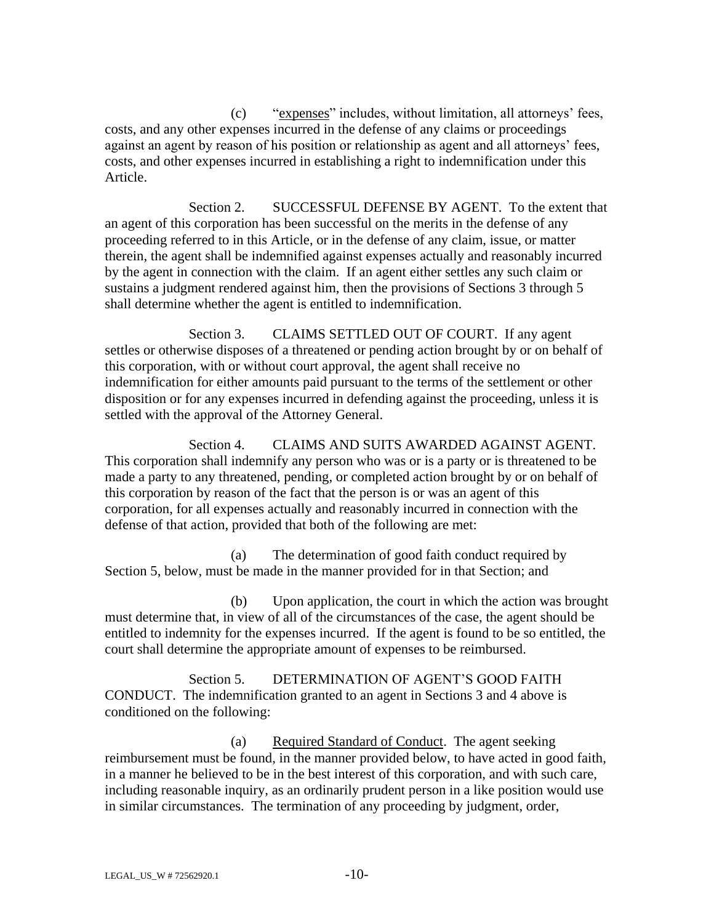(c) "expenses" includes, without limitation, all attorneys' fees, costs, and any other expenses incurred in the defense of any claims or proceedings against an agent by reason of his position or relationship as agent and all attorneys' fees, costs, and other expenses incurred in establishing a right to indemnification under this Article.

Section 2. SUCCESSFUL DEFENSE BY AGENT. To the extent that an agent of this corporation has been successful on the merits in the defense of any proceeding referred to in this Article, or in the defense of any claim, issue, or matter therein, the agent shall be indemnified against expenses actually and reasonably incurred by the agent in connection with the claim. If an agent either settles any such claim or sustains a judgment rendered against him, then the provisions of Sections 3 through 5 shall determine whether the agent is entitled to indemnification.

Section 3. CLAIMS SETTLED OUT OF COURT. If any agent settles or otherwise disposes of a threatened or pending action brought by or on behalf of this corporation, with or without court approval, the agent shall receive no indemnification for either amounts paid pursuant to the terms of the settlement or other disposition or for any expenses incurred in defending against the proceeding, unless it is settled with the approval of the Attorney General.

Section 4. CLAIMS AND SUITS AWARDED AGAINST AGENT. This corporation shall indemnify any person who was or is a party or is threatened to be made a party to any threatened, pending, or completed action brought by or on behalf of this corporation by reason of the fact that the person is or was an agent of this corporation, for all expenses actually and reasonably incurred in connection with the defense of that action, provided that both of the following are met:

(a) The determination of good faith conduct required by Section 5, below, must be made in the manner provided for in that Section; and

(b) Upon application, the court in which the action was brought must determine that, in view of all of the circumstances of the case, the agent should be entitled to indemnity for the expenses incurred. If the agent is found to be so entitled, the court shall determine the appropriate amount of expenses to be reimbursed.

Section 5. DETERMINATION OF AGENT'S GOOD FAITH CONDUCT. The indemnification granted to an agent in Sections 3 and 4 above is conditioned on the following:

(a) Required Standard of Conduct. The agent seeking reimbursement must be found, in the manner provided below, to have acted in good faith, in a manner he believed to be in the best interest of this corporation, and with such care, including reasonable inquiry, as an ordinarily prudent person in a like position would use in similar circumstances. The termination of any proceeding by judgment, order,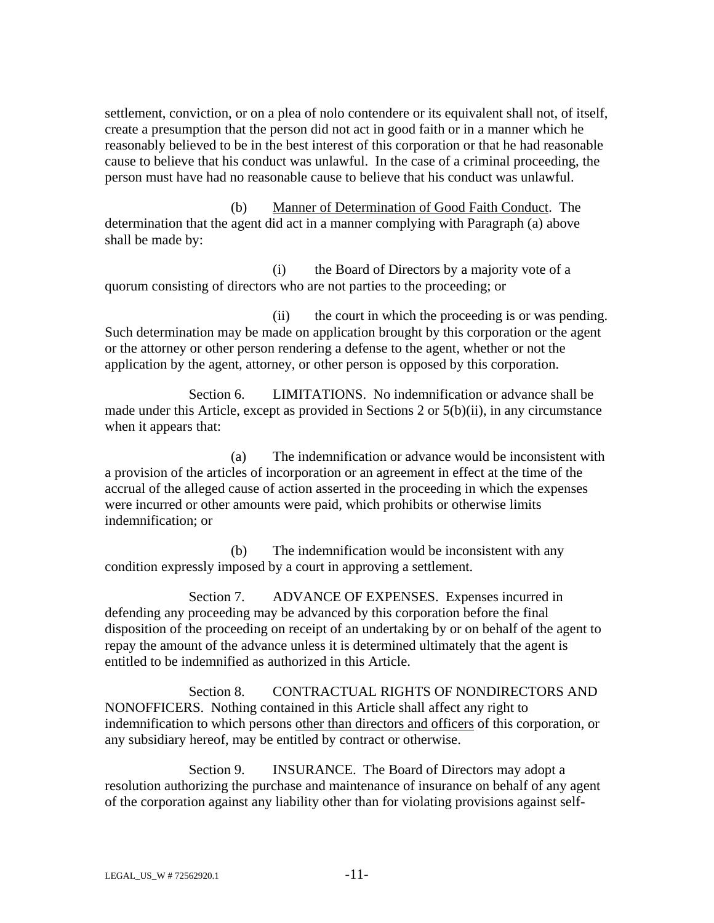settlement, conviction, or on a plea of nolo contendere or its equivalent shall not, of itself, create a presumption that the person did not act in good faith or in a manner which he reasonably believed to be in the best interest of this corporation or that he had reasonable cause to believe that his conduct was unlawful. In the case of a criminal proceeding, the person must have had no reasonable cause to believe that his conduct was unlawful.

(b) Manner of Determination of Good Faith Conduct. The determination that the agent did act in a manner complying with Paragraph (a) above shall be made by:

(i) the Board of Directors by a majority vote of a quorum consisting of directors who are not parties to the proceeding; or

(ii) the court in which the proceeding is or was pending. Such determination may be made on application brought by this corporation or the agent or the attorney or other person rendering a defense to the agent, whether or not the application by the agent, attorney, or other person is opposed by this corporation.

Section 6. LIMITATIONS. No indemnification or advance shall be made under this Article, except as provided in Sections 2 or 5(b)(ii), in any circumstance when it appears that:

(a) The indemnification or advance would be inconsistent with a provision of the articles of incorporation or an agreement in effect at the time of the accrual of the alleged cause of action asserted in the proceeding in which the expenses were incurred or other amounts were paid, which prohibits or otherwise limits indemnification; or

(b) The indemnification would be inconsistent with any condition expressly imposed by a court in approving a settlement.

Section 7. ADVANCE OF EXPENSES. Expenses incurred in defending any proceeding may be advanced by this corporation before the final disposition of the proceeding on receipt of an undertaking by or on behalf of the agent to repay the amount of the advance unless it is determined ultimately that the agent is entitled to be indemnified as authorized in this Article.

Section 8. CONTRACTUAL RIGHTS OF NONDIRECTORS AND NONOFFICERS. Nothing contained in this Article shall affect any right to indemnification to which persons other than directors and officers of this corporation, or any subsidiary hereof, may be entitled by contract or otherwise.

Section 9. INSURANCE. The Board of Directors may adopt a resolution authorizing the purchase and maintenance of insurance on behalf of any agent of the corporation against any liability other than for violating provisions against self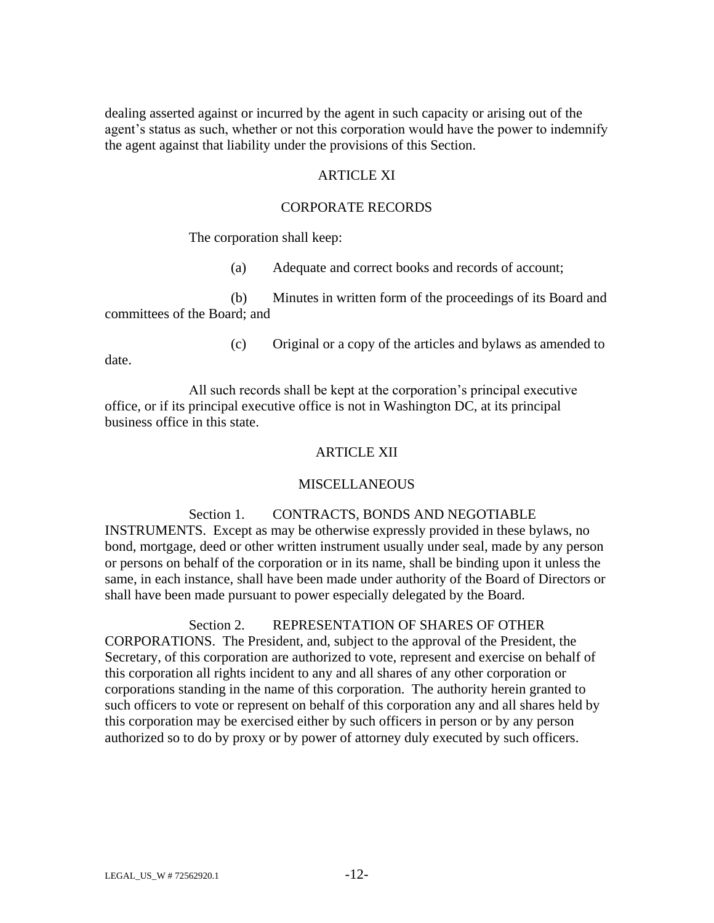dealing asserted against or incurred by the agent in such capacity or arising out of the agent's status as such, whether or not this corporation would have the power to indemnify the agent against that liability under the provisions of this Section.

## ARTICLE XI

### CORPORATE RECORDS

The corporation shall keep:

(a) Adequate and correct books and records of account;

(b) Minutes in written form of the proceedings of its Board and committees of the Board; and

(c) Original or a copy of the articles and bylaws as amended to

date.

All such records shall be kept at the corporation's principal executive office, or if its principal executive office is not in Washington DC, at its principal business office in this state.

## ARTICLE XII

### MISCELLANEOUS

Section 1. CONTRACTS, BONDS AND NEGOTIABLE INSTRUMENTS. Except as may be otherwise expressly provided in these bylaws, no bond, mortgage, deed or other written instrument usually under seal, made by any person or persons on behalf of the corporation or in its name, shall be binding upon it unless the same, in each instance, shall have been made under authority of the Board of Directors or shall have been made pursuant to power especially delegated by the Board.

Section 2. REPRESENTATION OF SHARES OF OTHER CORPORATIONS. The President, and, subject to the approval of the President, the Secretary, of this corporation are authorized to vote, represent and exercise on behalf of this corporation all rights incident to any and all shares of any other corporation or corporations standing in the name of this corporation. The authority herein granted to such officers to vote or represent on behalf of this corporation any and all shares held by this corporation may be exercised either by such officers in person or by any person authorized so to do by proxy or by power of attorney duly executed by such officers.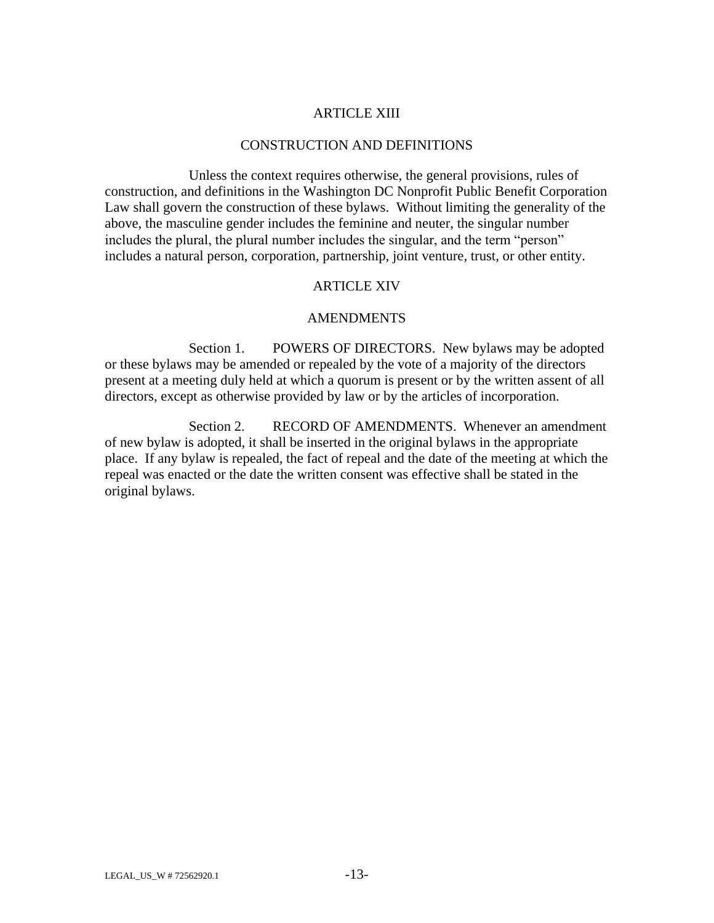### ARTICLE XIII

### CONSTRUCTION AND DEFINITIONS

Unless the context requires otherwise, the general provisions, rules of construction, and definitions in the Washington DC Nonprofit Public Benefit Corporation Law shall govern the construction of these bylaws. Without limiting the generality of the above, the masculine gender includes the feminine and neuter, the singular number includes the plural, the plural number includes the singular, and the term "person" includes a natural person, corporation, partnership, joint venture, trust, or other entity.

## ARTICLE XIV

### AMENDMENTS

Section 1. POWERS OF DIRECTORS. New bylaws may be adopted or these bylaws may be amended or repealed by the vote of a majority of the directors present at a meeting duly held at which a quorum is present or by the written assent of all directors, except as otherwise provided by law or by the articles of incorporation.

Section 2. RECORD OF AMENDMENTS. Whenever an amendment of new bylaw is adopted, it shall be inserted in the original bylaws in the appropriate place. If any bylaw is repealed, the fact of repeal and the date of the meeting at which the repeal was enacted or the date the written consent was effective shall be stated in the original bylaws.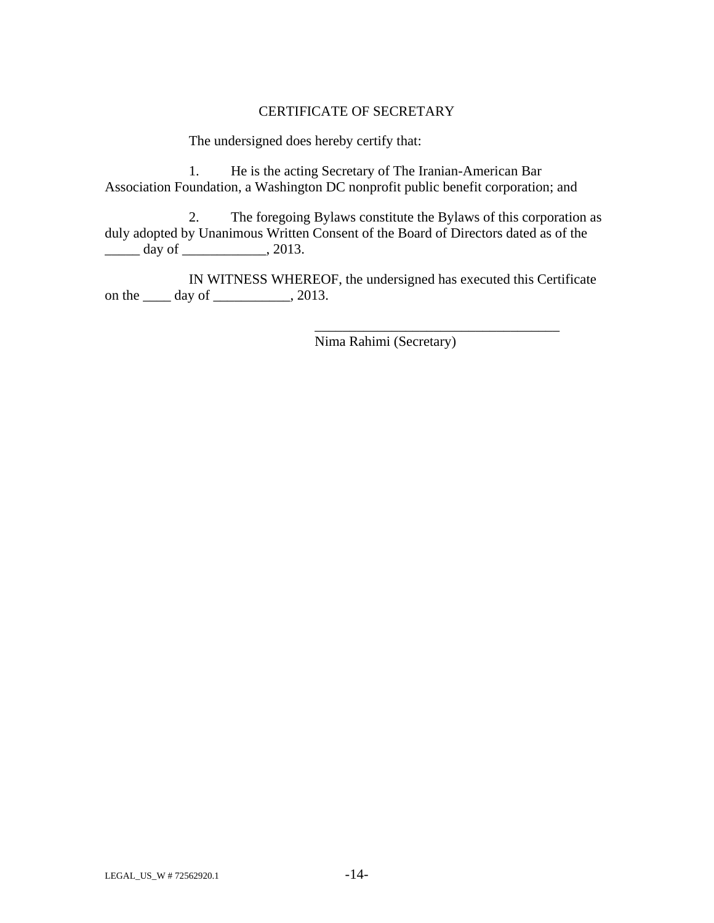## CERTIFICATE OF SECRETARY

The undersigned does hereby certify that:

1. He is the acting Secretary of The Iranian-American Bar Association Foundation, a Washington DC nonprofit public benefit corporation; and

2. The foregoing Bylaws constitute the Bylaws of this corporation as duly adopted by Unanimous Written Consent of the Board of Directors dated as of the \_\_\_\_\_ day of \_\_\_\_\_\_\_\_\_\_\_\_, 2013.

IN WITNESS WHEREOF, the undersigned has executed this Certificate on the <u>equal</u> day of <u>equal</u>, 2013.

Nima Rahimi (Secretary)

\_\_\_\_\_\_\_\_\_\_\_\_\_\_\_\_\_\_\_\_\_\_\_\_\_\_\_\_\_\_\_\_\_\_\_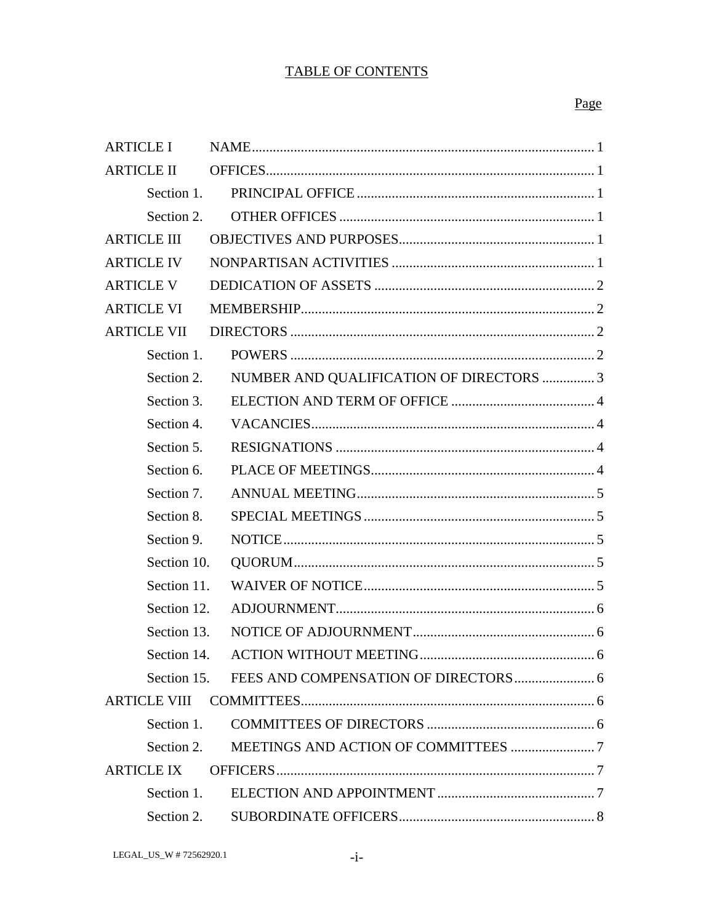# **TABLE OF CONTENTS**

# Page

| <b>ARTICLE I</b>   |                                          |  |
|--------------------|------------------------------------------|--|
| <b>ARTICLE II</b>  |                                          |  |
| Section 1.         |                                          |  |
| Section 2.         |                                          |  |
| <b>ARTICLE III</b> |                                          |  |
| <b>ARTICLE IV</b>  |                                          |  |
| <b>ARTICLE V</b>   |                                          |  |
| <b>ARTICLE VI</b>  |                                          |  |
| <b>ARTICLE VII</b> |                                          |  |
| Section 1.         |                                          |  |
| Section 2.         | NUMBER AND QUALIFICATION OF DIRECTORS  3 |  |
| Section 3.         |                                          |  |
| Section 4.         |                                          |  |
| Section 5.         |                                          |  |
| Section 6.         |                                          |  |
| Section 7.         |                                          |  |
| Section 8.         |                                          |  |
| Section 9.         |                                          |  |
| Section 10.        |                                          |  |
| Section 11.        |                                          |  |
| Section 12.        |                                          |  |
| Section 13.        |                                          |  |
| Section 14.        |                                          |  |
|                    |                                          |  |
|                    |                                          |  |
|                    |                                          |  |
|                    |                                          |  |
|                    |                                          |  |
|                    |                                          |  |
|                    |                                          |  |